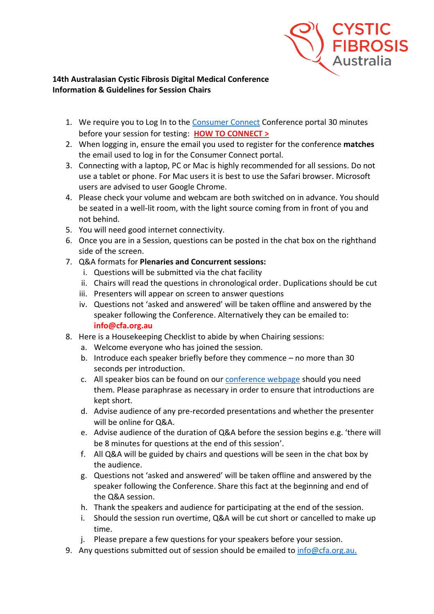

## **14th Australasian Cystic Fibrosis Digital Medical Conference Information & Guidelines for Session Chairs**

- 1. We require you to Log In to the [Consumer Connect](https://cfa.padlokt.com/) Conference portal 30 minutes before your session for testing: **[HOW TO CONNECT >](https://www.cysticfibrosis.org.au/getmedia/21319a82-07f4-4368-a3bb-b789ee39c755/Chair_Presenter_Connection-UPDATED-v2.pdf.aspx)**
- 2. When logging in, ensure the email you used to register for the conference **matches** the email used to log in for the Consumer Connect portal.
- 3. Connecting with a laptop, PC or Mac is highly recommended for all sessions. Do not use a tablet or phone. For Mac users it is best to use the Safari browser. Microsoft users are advised to user Google Chrome.
- 4. Please check your volume and webcam are both switched on in advance. You should be seated in a well-lit room, with the light source coming from in front of you and not behind.
- 5. You will need good internet connectivity.
- 6. Once you are in a Session, questions can be posted in the chat box on the righthand side of the screen.
- 7. Q&A formats for **Plenaries and Concurrent sessions:**
	- i. Questions will be submitted via the chat facility
	- ii. Chairs will read the questions in chronological order. Duplications should be cut
	- iii. Presenters will appear on screen to answer questions
	- iv. Questions not 'asked and answered' will be taken offline and answered by the speaker following the Conference. Alternatively they can be emailed to: **info@cfa.org.au**
- 8. Here is a Housekeeping Checklist to abide by when Chairing sessions:
	- a. Welcome everyone who has joined the session.
	- b. Introduce each speaker briefly before they commence no more than 30 seconds per introduction.
	- c. All speaker bios can be found on our [conference webpage](https://www.cysticfibrosis.org.au/what-we-do/14th-australasian-cystic-fibrosis-digital-medical) should you need them. Please paraphrase as necessary in order to ensure that introductions are kept short.
	- d. Advise audience of any pre-recorded presentations and whether the presenter will be online for Q&A.
	- e. Advise audience of the duration of Q&A before the session begins e.g. 'there will be 8 minutes for questions at the end of this session'.
	- f. All Q&A will be guided by chairs and questions will be seen in the chat box by the audience.
	- g. Questions not 'asked and answered' will be taken offline and answered by the speaker following the Conference. Share this fact at the beginning and end of the Q&A session.
	- h. Thank the speakers and audience for participating at the end of the session.
	- i. Should the session run overtime, Q&A will be cut short or cancelled to make up time.
	- j. Please prepare a few questions for your speakers before your session.
- 9. Any questions submitted out of session should be emailed to [info@cfa.org.au.](mailto:info@cfa.org.au)